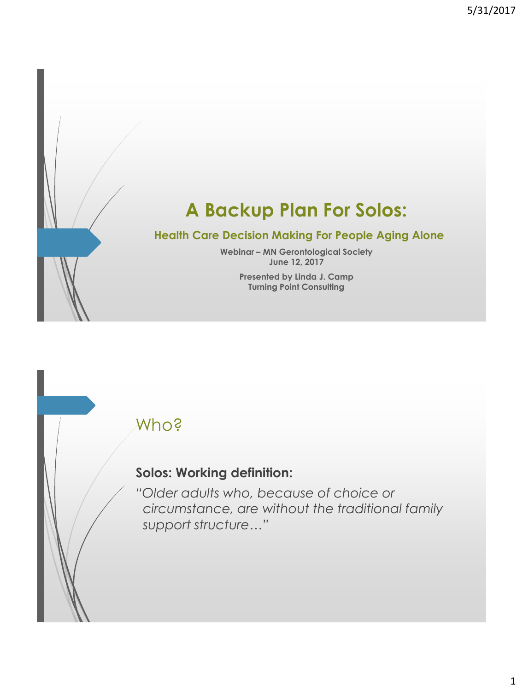# **A Backup Plan For Solos:**

#### **Health Care Decision Making For People Aging Alone**

**Webinar – MN Gerontological Society June 12, 2017**

> **Presented by Linda J. Camp Turning Point Consulting**

#### Who?

#### **Solos: Working definition:**

*"Older adults who, because of choice or circumstance, are without the traditional family support structure…"*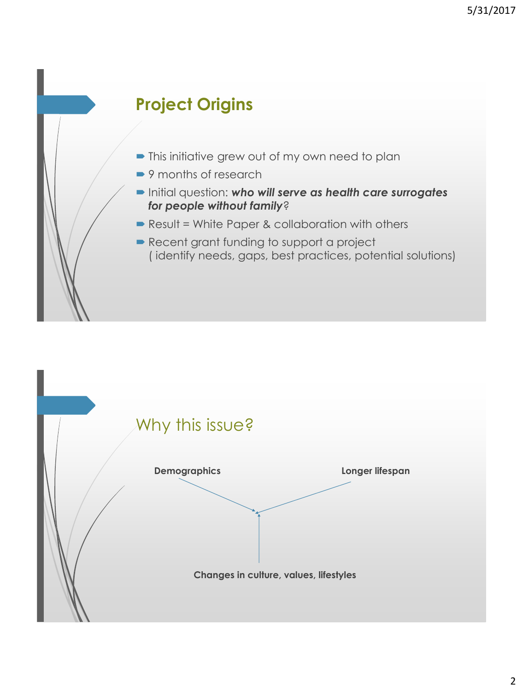# **Project Origins**

- $\blacksquare$  This initiative grew out of my own need to plan
- 9 months of research
- Initial question: *who will serve as health care surrogates for people without family*?
- Result = White Paper & collaboration with others
- Recent grant funding to support a project ( identify needs, gaps, best practices, potential solutions)

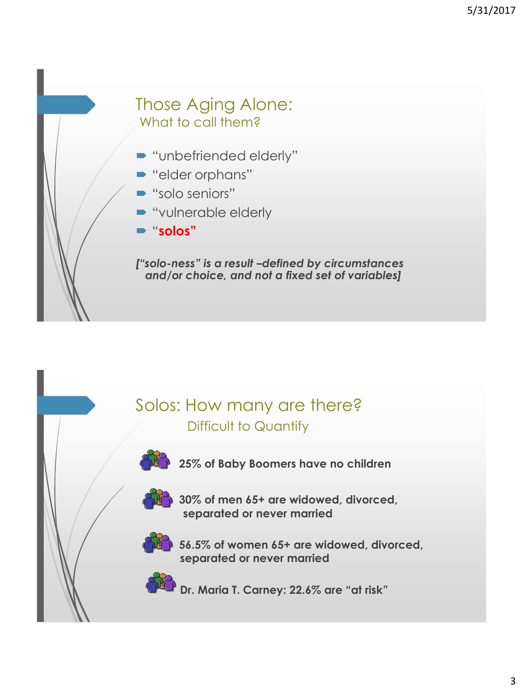#### Those Aging Alone: What to call them?

- **"unbefriended elderly"**
- "elder orphans"
- "solo seniors"
- "vulnerable elderly
- "**solos"**

*["solo-ness" is a result –defined by circumstances and/or choice, and not a fixed set of variables]*

# Solos: How many are there? Difficult to Quantify

**25% of Baby Boomers have no children** 



**30% of men 65+ are widowed, divorced, separated or never married**



**56.5% of women 65+ are widowed, divorced, separated or never married**

**Dr. Maria T. Carney: 22.6% are "at risk"**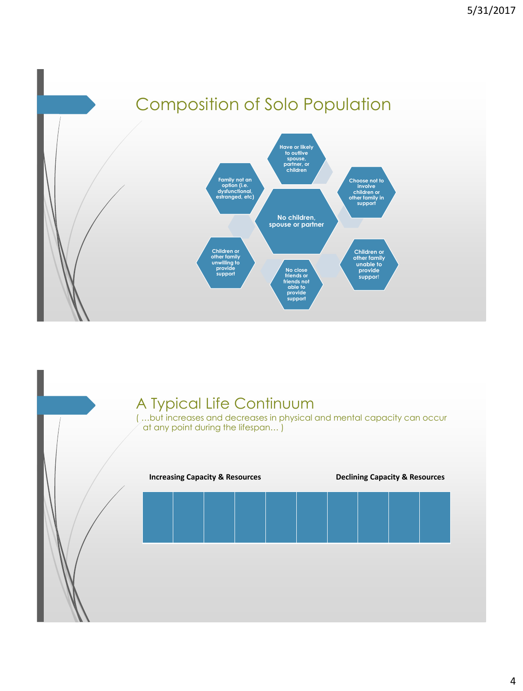



#### 4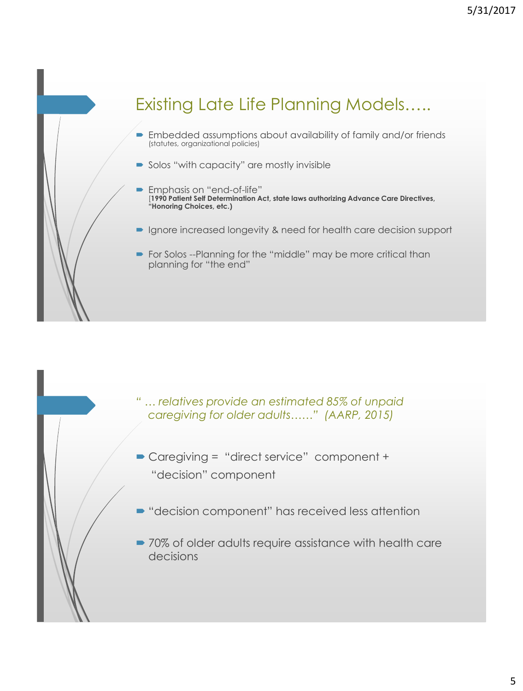# Existing Late Life Planning Models…..

- **Embedded assumptions about availability of family and/or friends** (statutes, organizational policies)
- Solos "with capacity" are mostly invisible
- Emphasis on "end-of-life" [**1990 Patient Self Determination Act, state laws authorizing Advance Care Directives, "Honoring Choices, etc.)**
- **Ignore increased longevity & need for health care decision support**
- For Solos --Planning for the "middle" may be more critical than planning for "the end"

- *" … relatives provide an estimated 85% of unpaid caregiving for older adults……" (AARP, 2015)*
- Caregiving = "direct service" component + "decision" component
- "decision component" has received less attention
- 70% of older adults require assistance with health care decisions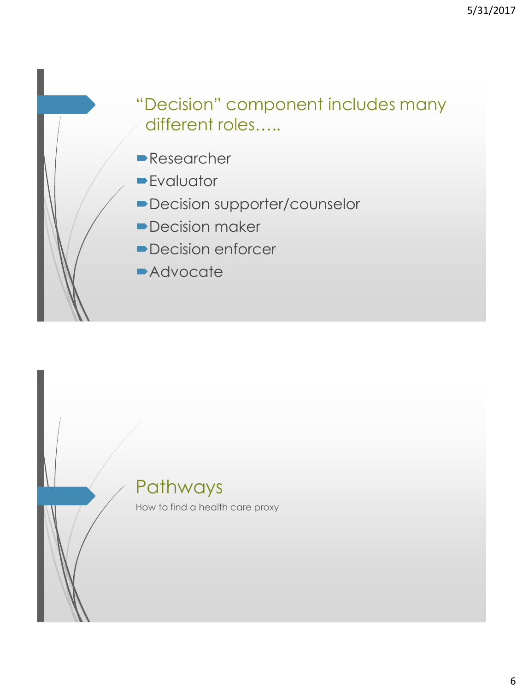# "Decision" component includes many different roles…..

- **Researcher**
- **Evaluator**
- Decision supporter/counselor
- **Decision maker**
- Decision enforcer
- **Advocate**

# Pathways

How to find a health care proxy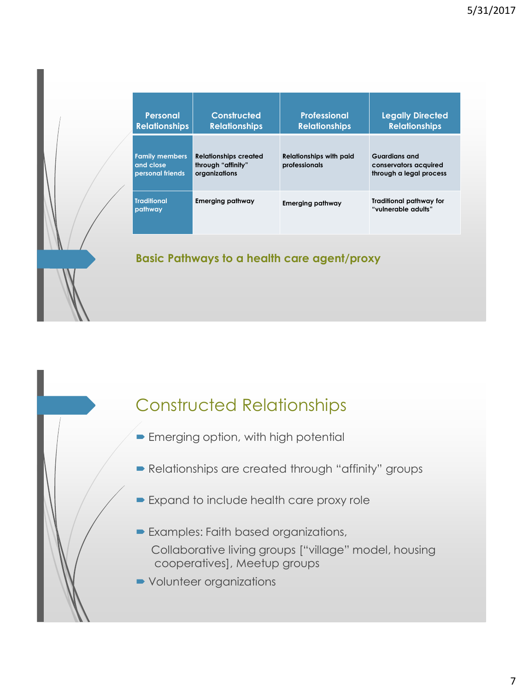| <b>Personal</b><br><b>Relationships</b>                | Constructed<br><b>Relationships</b>                                 | <b>Professional</b><br><b>Relationships</b>     | <b>Legally Directed</b><br><b>Relationships</b>                          |
|--------------------------------------------------------|---------------------------------------------------------------------|-------------------------------------------------|--------------------------------------------------------------------------|
| <b>Family members</b><br>and close<br>personal friends | <b>Relationships created</b><br>through "affinity"<br>organizations | <b>Relationships with paid</b><br>professionals | <b>Guardians and</b><br>conservators acquired<br>through a legal process |
| <b>Traditional</b><br>pathway                          | Emerging pathway                                                    | <b>Emerging pathway</b>                         | Traditional pathway for<br>"vulnerable adults"                           |

#### **Basic Pathways to a health care agent/proxy**

## Constructed Relationships

- **Emerging option, with high potential**
- Relationships are created through "affinity" groups
- Expand to include health care proxy role
- Examples: Faith based organizations, Collaborative living groups ["village" model, housing cooperatives], Meetup groups
- Volunteer organizations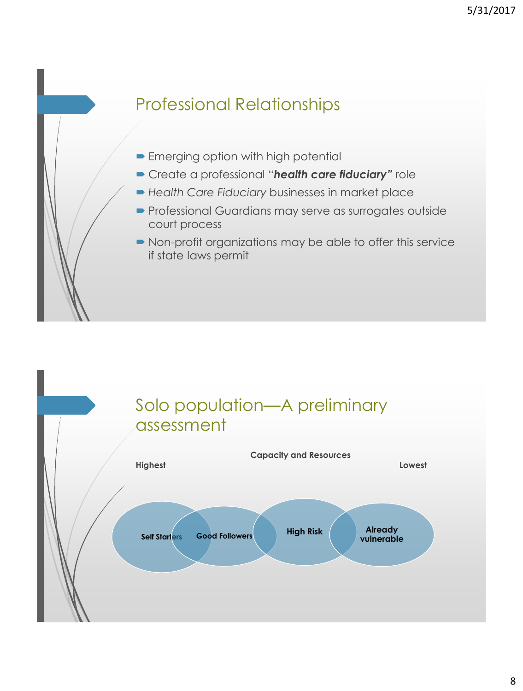# Professional Relationships

- **Emerging option with high potential**
- Create a professional "*health care fiduciary"* role
- *Health Care Fiduciary* businesses in market place
- **Professional Guardians may serve as surrogates outside** court process
- Non-profit organizations may be able to offer this service if state laws permit

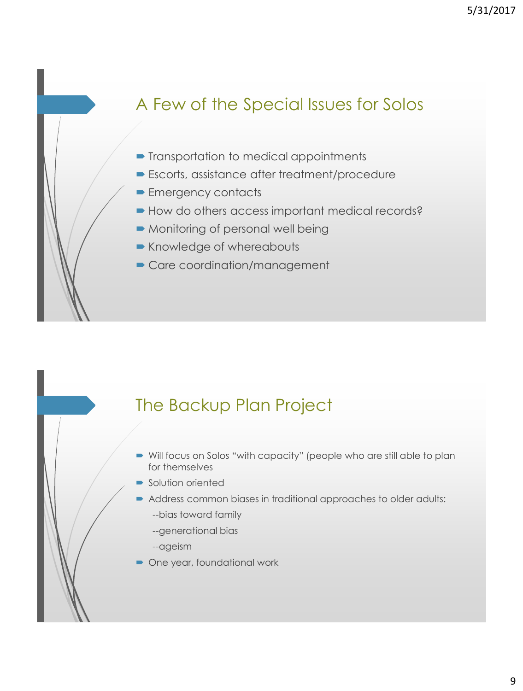# A Few of the Special Issues for Solos

- **Transportation to medical appointments**
- Escorts, assistance after treatment/procedure
- **Emergency contacts**
- How do others access important medical records?
- Monitoring of personal well being
- Knowledge of whereabouts
- Care coordination/management

#### The Backup Plan Project

- Will focus on Solos "with capacity" (people who are still able to plan for themselves
- **Solution oriented**
- Address common biases in traditional approaches to older adults:
	- --bias toward family
	- --generational bias
	- --ageism
- One year, foundational work